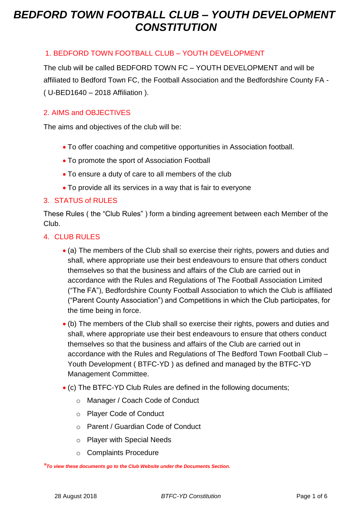#### 1. BEDFORD TOWN FOOTBALL CLUB – YOUTH DEVELOPMENT

The club will be called BEDFORD TOWN FC – YOUTH DEVELOPMENT and will be affiliated to Bedford Town FC, the Football Association and the Bedfordshire County FA - ( U-BED1640 – 2018 Affiliation ).

#### 2. AIMS and OBJECTIVES

The aims and objectives of the club will be:

- To offer coaching and competitive opportunities in Association football.
- To promote the sport of Association Football
- To ensure a duty of care to all members of the club
- To provide all its services in a way that is fair to everyone

#### 3. STATUS of RULES

These Rules ( the "Club Rules" ) form a binding agreement between each Member of the Club.

#### 4. CLUB RULES

- (a) The members of the Club shall so exercise their rights, powers and duties and shall, where appropriate use their best endeavours to ensure that others conduct themselves so that the business and affairs of the Club are carried out in accordance with the Rules and Regulations of The Football Association Limited ("The FA"), Bedfordshire County Football Association to which the Club is affiliated ("Parent County Association") and Competitions in which the Club participates, for the time being in force.
- (b) The members of the Club shall so exercise their rights, powers and duties and shall, where appropriate use their best endeavours to ensure that others conduct themselves so that the business and affairs of the Club are carried out in accordance with the Rules and Regulations of The Bedford Town Football Club – Youth Development ( BTFC-YD ) as defined and managed by the BTFC-YD Management Committee.
- (c) The BTFC-YD Club Rules are defined in the following documents;
	- o Manager / Coach Code of Conduct
	- o Player Code of Conduct
	- o Parent / Guardian Code of Conduct
	- o Player with Special Needs
	- o Complaints Procedure

*\*To view these documents go to the Club Website under the Documents Section.*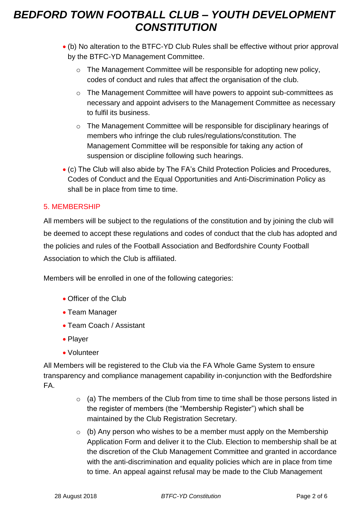- (b) No alteration to the BTFC-YD Club Rules shall be effective without prior approval by the BTFC-YD Management Committee.
	- o The Management Committee will be responsible for adopting new policy, codes of conduct and rules that affect the organisation of the club.
	- o The Management Committee will have powers to appoint sub-committees as necessary and appoint advisers to the Management Committee as necessary to fulfil its business.
	- o The Management Committee will be responsible for disciplinary hearings of members who infringe the club rules/regulations/constitution. The Management Committee will be responsible for taking any action of suspension or discipline following such hearings.
- (c) The Club will also abide by The FA's Child Protection Policies and Procedures, Codes of Conduct and the Equal Opportunities and Anti-Discrimination Policy as shall be in place from time to time.

### 5. MEMBERSHIP

All members will be subject to the regulations of the constitution and by joining the club will be deemed to accept these regulations and codes of conduct that the club has adopted and the policies and rules of the Football Association and Bedfordshire County Football Association to which the Club is affiliated.

Members will be enrolled in one of the following categories:

- Officer of the Club
- Team Manager
- Team Coach / Assistant
- Player
- Volunteer

All Members will be registered to the Club via the FA Whole Game System to ensure transparency and compliance management capability in-conjunction with the Bedfordshire FA.

- o (a) The members of the Club from time to time shall be those persons listed in the register of members (the "Membership Register") which shall be maintained by the Club Registration Secretary.
- $\circ$  (b) Any person who wishes to be a member must apply on the Membership Application Form and deliver it to the Club. Election to membership shall be at the discretion of the Club Management Committee and granted in accordance with the anti-discrimination and equality policies which are in place from time to time. An appeal against refusal may be made to the Club Management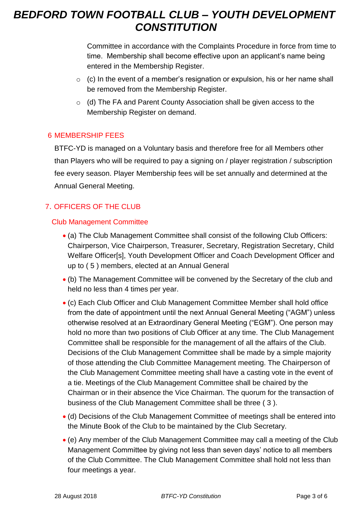Committee in accordance with the Complaints Procedure in force from time to time. Membership shall become effective upon an applicant's name being entered in the Membership Register.

- $\circ$  (c) In the event of a member's resignation or expulsion, his or her name shall be removed from the Membership Register.
- o (d) The FA and Parent County Association shall be given access to the Membership Register on demand.

### 6 MEMBERSHIP FEES

BTFC-YD is managed on a Voluntary basis and therefore free for all Members other than Players who will be required to pay a signing on / player registration / subscription fee every season. Player Membership fees will be set annually and determined at the Annual General Meeting.

## 7. OFFICERS OF THE CLUB

### Club Management Committee

- (a) The Club Management Committee shall consist of the following Club Officers: Chairperson, Vice Chairperson, Treasurer, Secretary, Registration Secretary, Child Welfare Officer[s], Youth Development Officer and Coach Development Officer and up to ( 5 ) members, elected at an Annual General
- (b) The Management Committee will be convened by the Secretary of the club and held no less than 4 times per year.
- (c) Each Club Officer and Club Management Committee Member shall hold office from the date of appointment until the next Annual General Meeting ("AGM") unless otherwise resolved at an Extraordinary General Meeting ("EGM"). One person may hold no more than two positions of Club Officer at any time. The Club Management Committee shall be responsible for the management of all the affairs of the Club. Decisions of the Club Management Committee shall be made by a simple majority of those attending the Club Committee Management meeting. The Chairperson of the Club Management Committee meeting shall have a casting vote in the event of a tie. Meetings of the Club Management Committee shall be chaired by the Chairman or in their absence the Vice Chairman. The quorum for the transaction of business of the Club Management Committee shall be three ( 3 ).
- (d) Decisions of the Club Management Committee of meetings shall be entered into the Minute Book of the Club to be maintained by the Club Secretary.
- (e) Any member of the Club Management Committee may call a meeting of the Club Management Committee by giving not less than seven days' notice to all members of the Club Committee. The Club Management Committee shall hold not less than four meetings a year.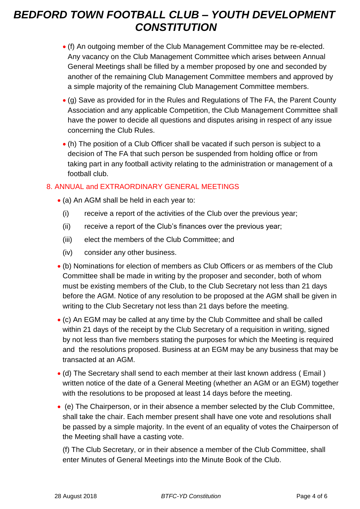- (f) An outgoing member of the Club Management Committee may be re-elected. Any vacancy on the Club Management Committee which arises between Annual General Meetings shall be filled by a member proposed by one and seconded by another of the remaining Club Management Committee members and approved by a simple majority of the remaining Club Management Committee members.
- (g) Save as provided for in the Rules and Regulations of The FA, the Parent County Association and any applicable Competition, the Club Management Committee shall have the power to decide all questions and disputes arising in respect of any issue concerning the Club Rules.
- (h) The position of a Club Officer shall be vacated if such person is subject to a decision of The FA that such person be suspended from holding office or from taking part in any football activity relating to the administration or management of a football club.

### 8. ANNUAL and EXTRAORDINARY GENERAL MEETINGS

- (a) An AGM shall be held in each year to:
	- (i) receive a report of the activities of the Club over the previous year;
	- (ii) receive a report of the Club's finances over the previous year;
	- (iii) elect the members of the Club Committee; and
	- (iv) consider any other business.
- (b) Nominations for election of members as Club Officers or as members of the Club Committee shall be made in writing by the proposer and seconder, both of whom must be existing members of the Club, to the Club Secretary not less than 21 days before the AGM. Notice of any resolution to be proposed at the AGM shall be given in writing to the Club Secretary not less than 21 days before the meeting.
- (c) An EGM may be called at any time by the Club Committee and shall be called within 21 days of the receipt by the Club Secretary of a requisition in writing, signed by not less than five members stating the purposes for which the Meeting is required and the resolutions proposed. Business at an EGM may be any business that may be transacted at an AGM.
- (d) The Secretary shall send to each member at their last known address ( Email ) written notice of the date of a General Meeting (whether an AGM or an EGM) together with the resolutions to be proposed at least 14 days before the meeting.
- (e) The Chairperson, or in their absence a member selected by the Club Committee, shall take the chair. Each member present shall have one vote and resolutions shall be passed by a simple majority. In the event of an equality of votes the Chairperson of the Meeting shall have a casting vote.

(f) The Club Secretary, or in their absence a member of the Club Committee, shall enter Minutes of General Meetings into the Minute Book of the Club.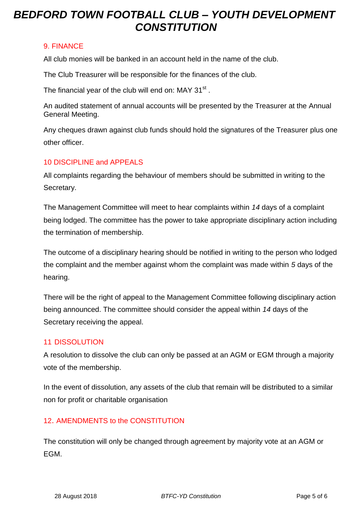### 9. FINANCE

All club monies will be banked in an account held in the name of the club.

The Club Treasurer will be responsible for the finances of the club.

The financial year of the club will end on: MAY 31 $^{\rm st}$  .

An audited statement of annual accounts will be presented by the Treasurer at the Annual General Meeting.

Any cheques drawn against club funds should hold the signatures of the Treasurer plus one other officer.

### 10 DISCIPLINE and APPEALS

All complaints regarding the behaviour of members should be submitted in writing to the Secretary.

The Management Committee will meet to hear complaints within *14* days of a complaint being lodged. The committee has the power to take appropriate disciplinary action including the termination of membership.

The outcome of a disciplinary hearing should be notified in writing to the person who lodged the complaint and the member against whom the complaint was made within *5* days of the hearing.

There will be the right of appeal to the Management Committee following disciplinary action being announced. The committee should consider the appeal within *14* days of the Secretary receiving the appeal.

### 11 DISSOLUTION

A resolution to dissolve the club can only be passed at an AGM or EGM through a majority vote of the membership.

In the event of dissolution, any assets of the club that remain will be distributed to a similar non for profit or charitable organisation

## 12. AMENDMENTS to the CONSTITUTION

The constitution will only be changed through agreement by majority vote at an AGM or EGM.